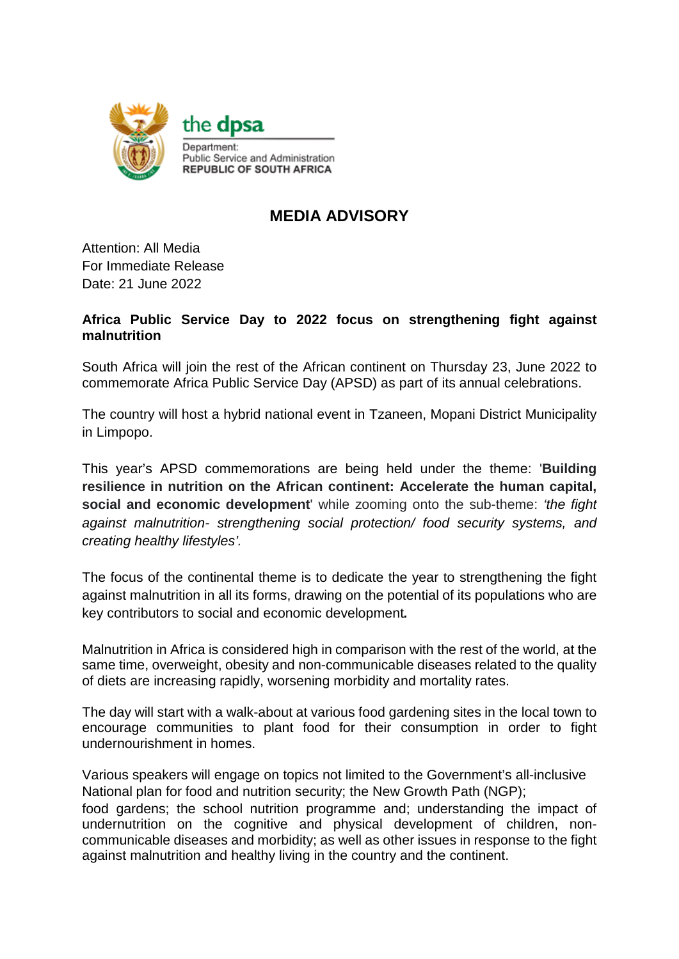

## **MEDIA ADVISORY**

Attention: All Media For Immediate Release Date: 21 June 2022

## **Africa Public Service Day to 2022 focus on strengthening fight against malnutrition**

South Africa will join the rest of the African continent on Thursday 23, June 2022 to commemorate Africa Public Service Day (APSD) as part of its annual celebrations.

The country will host a hybrid national event in Tzaneen, Mopani District Municipality in Limpopo.

This year's APSD commemorations are being held under the theme: '**Building resilience in nutrition on the African continent: Accelerate the human capital, social and economic development**' while zooming onto the sub-theme: *'the fight against malnutrition- strengthening social protection/ food security systems, and creating healthy lifestyles'.*

The focus of the continental theme is to dedicate the year to strengthening the fight against malnutrition in all its forms, drawing on the potential of its populations who are key contributors to social and economic development*.*

Malnutrition in Africa is considered high in comparison with the rest of the world, at the same time, overweight, obesity and non-communicable diseases related to the quality of diets are increasing rapidly, worsening morbidity and mortality rates.

The day will start with a walk-about at various food gardening sites in the local town to encourage communities to plant food for their consumption in order to fight undernourishment in homes.

Various speakers will engage on topics not limited to the Government's all-inclusive National plan for food and nutrition security; the New Growth Path (NGP);

food gardens; the school nutrition programme and; understanding the impact of undernutrition on the cognitive and physical development of children, noncommunicable diseases and morbidity; as well as other issues in response to the fight against malnutrition and healthy living in the country and the continent.